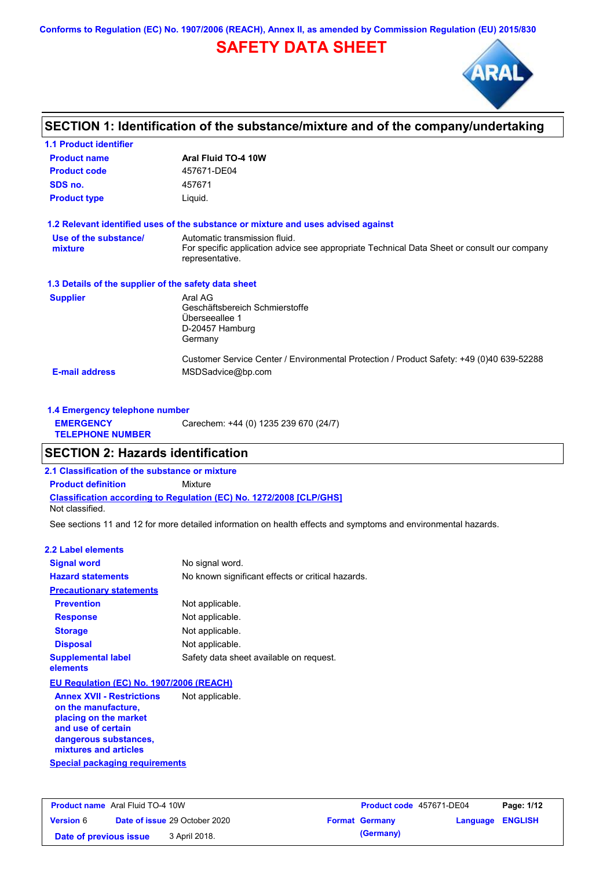**Conforms to Regulation (EC) No. 1907/2006 (REACH), Annex II, as amended by Commission Regulation (EU) 2015/830**

## **SAFETY DATA SHEET**



## **SECTION 1: Identification of the substance/mixture and of the company/undertaking**

| <b>1.1 Product identifier</b>                        |                                                                                                                                                 |
|------------------------------------------------------|-------------------------------------------------------------------------------------------------------------------------------------------------|
| <b>Product name</b>                                  | Aral Fluid TO-4 10W                                                                                                                             |
| <b>Product code</b>                                  | 457671-DE04                                                                                                                                     |
| SDS no.                                              | 457671                                                                                                                                          |
| <b>Product type</b>                                  | Liquid.                                                                                                                                         |
|                                                      | 1.2 Relevant identified uses of the substance or mixture and uses advised against                                                               |
| Use of the substance/<br>mixture                     | Automatic transmission fluid.<br>For specific application advice see appropriate Technical Data Sheet or consult our company<br>representative. |
| 1.3 Details of the supplier of the safety data sheet |                                                                                                                                                 |
| <b>Supplier</b>                                      | Aral AG<br>Geschäftsbereich Schmierstoffe<br>Überseeallee 1<br>D-20457 Hamburg<br>Germany                                                       |
| <b>E-mail address</b>                                | Customer Service Center / Environmental Protection / Product Safety: +49 (0)40 639-52288<br>MSDSadvice@bp.com                                   |

| 1.4 Emergency telephone number              |                                       |  |  |  |
|---------------------------------------------|---------------------------------------|--|--|--|
| <b>EMERGENCY</b><br><b>TELEPHONE NUMBER</b> | Carechem: +44 (0) 1235 239 670 (24/7) |  |  |  |

### **SECTION 2: Hazards identification**

**2.1 Classification of the substance or mixture**

**Classification according to Regulation (EC) No. 1272/2008 [CLP/GHS] Product definition** Mixture

Not classified.

See sections 11 and 12 for more detailed information on health effects and symptoms and environmental hazards.

#### **2.2 Label elements**

| <b>Signal word</b>                                     | No signal word.                                   |
|--------------------------------------------------------|---------------------------------------------------|
| <b>Hazard statements</b>                               | No known significant effects or critical hazards. |
| <b>Precautionary statements</b>                        |                                                   |
| <b>Prevention</b>                                      | Not applicable.                                   |
| <b>Response</b>                                        | Not applicable.                                   |
| <b>Storage</b>                                         | Not applicable.                                   |
| <b>Disposal</b>                                        | Not applicable.                                   |
| <b>Supplemental label</b><br>elements                  | Safety data sheet available on request.           |
| EU Regulation (EC) No. 1907/2006 (REACH)               |                                                   |
| <b>Annex XVII - Restrictions</b><br>on the manufacture | Not applicable.                                   |

**Special packaging requirements on the manufacture, placing on the market and use of certain dangerous substances, mixtures and articles**

| <b>Product name</b> Aral Fluid TO-4 10W |  | <b>Product code</b> 457671-DE04      |  | Page: 1/12            |                  |  |
|-----------------------------------------|--|--------------------------------------|--|-----------------------|------------------|--|
| <b>Version 6</b>                        |  | <b>Date of issue 29 October 2020</b> |  | <b>Format Germany</b> | Language ENGLISH |  |
| Date of previous issue                  |  | 3 April 2018.                        |  | (Germany)             |                  |  |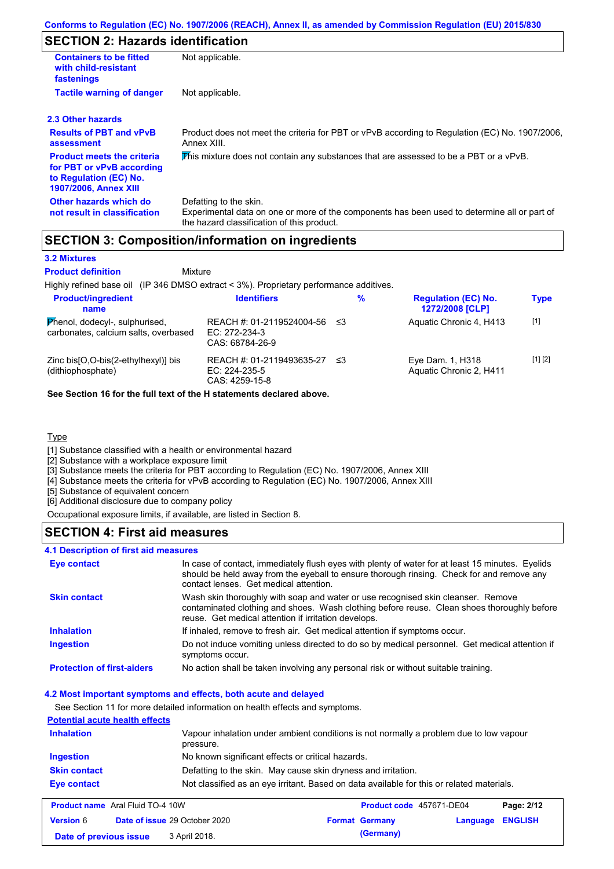## **SECTION 2: Hazards identification**

| <b>Containers to be fitted</b><br>with child-resistant<br>fastenings                                                     | Not applicable.                                                                                                                                                      |
|--------------------------------------------------------------------------------------------------------------------------|----------------------------------------------------------------------------------------------------------------------------------------------------------------------|
| <b>Tactile warning of danger</b>                                                                                         | Not applicable.                                                                                                                                                      |
| 2.3 Other hazards                                                                                                        |                                                                                                                                                                      |
| <b>Results of PBT and vPvB</b><br>assessment                                                                             | Product does not meet the criteria for PBT or vPvB according to Regulation (EC) No. 1907/2006,<br>Annex XIII.                                                        |
| <b>Product meets the criteria</b><br>for PBT or vPvB according<br>to Regulation (EC) No.<br><b>1907/2006, Annex XIII</b> | This mixture does not contain any substances that are assessed to be a PBT or a vPvB.                                                                                |
| Other hazards which do<br>not result in classification                                                                   | Defatting to the skin.<br>Experimental data on one or more of the components has been used to determine all or part of<br>the hazard classification of this product. |

## **SECTION 3: Composition/information on ingredients**

#### **3.2 Mixtures**

Mixture **Product definition**

Highly refined base oil (IP 346 DMSO extract < 3%). Proprietary performance additives.

| <b>Product/ingredient</b><br>name                                      | <b>Identifiers</b>                                            |      | % | <b>Regulation (EC) No.</b><br>1272/2008 [CLP] | <b>Type</b> |
|------------------------------------------------------------------------|---------------------------------------------------------------|------|---|-----------------------------------------------|-------------|
| Phenol, dodecyl-, sulphurised,<br>carbonates, calcium salts, overbased | REACH #: 01-2119524004-56<br>EC: 272-234-3<br>CAS: 68784-26-9 | ו≥ ≤ |   | Aquatic Chronic 4, H413                       | $[1]$       |
| Zinc $bis[O,O-bis(2-ethylhexyl)]$ bis<br>(dithiophosphate)             | REACH #: 01-2119493635-27<br>EC: 224-235-5<br>CAS: 4259-15-8  | ו≥ ≤ |   | Eye Dam. 1, H318<br>Aquatic Chronic 2, H411   | [1] [2]     |

**See Section 16 for the full text of the H statements declared above.**

#### **Type**

[1] Substance classified with a health or environmental hazard

[2] Substance with a workplace exposure limit

[3] Substance meets the criteria for PBT according to Regulation (EC) No. 1907/2006, Annex XIII

[4] Substance meets the criteria for vPvB according to Regulation (EC) No. 1907/2006, Annex XIII

[5] Substance of equivalent concern

[6] Additional disclosure due to company policy

Occupational exposure limits, if available, are listed in Section 8.

### **SECTION 4: First aid measures**

#### **4.1 Description of first aid measures**

| <b>Eye contact</b>                | In case of contact, immediately flush eyes with plenty of water for at least 15 minutes. Eyelids<br>should be held away from the eyeball to ensure thorough rinsing. Check for and remove any<br>contact lenses. Get medical attention. |
|-----------------------------------|-----------------------------------------------------------------------------------------------------------------------------------------------------------------------------------------------------------------------------------------|
| <b>Skin contact</b>               | Wash skin thoroughly with soap and water or use recognised skin cleanser. Remove<br>contaminated clothing and shoes. Wash clothing before reuse. Clean shoes thoroughly before<br>reuse. Get medical attention if irritation develops.  |
| <b>Inhalation</b>                 | If inhaled, remove to fresh air. Get medical attention if symptoms occur.                                                                                                                                                               |
| <b>Ingestion</b>                  | Do not induce vomiting unless directed to do so by medical personnel. Get medical attention if<br>symptoms occur.                                                                                                                       |
| <b>Protection of first-aiders</b> | No action shall be taken involving any personal risk or without suitable training.                                                                                                                                                      |

#### **4.2 Most important symptoms and effects, both acute and delayed**

See Section 11 for more detailed information on health effects and symptoms.

| <b>Potential acute health effects</b> |                                                                                                     |
|---------------------------------------|-----------------------------------------------------------------------------------------------------|
| <b>Inhalation</b>                     | Vapour inhalation under ambient conditions is not normally a problem due to low vapour<br>pressure. |
| Ingestion                             | No known significant effects or critical hazards.                                                   |
| <b>Skin contact</b>                   | Defatting to the skin. May cause skin dryness and irritation.                                       |
| Eye contact                           | Not classified as an eye irritant. Based on data available for this or related materials.           |

| <b>Product name</b> Aral Fluid TO-4 10W |  | <b>Product code</b> 457671-DE04      |  | Page: 2/12            |                  |  |
|-----------------------------------------|--|--------------------------------------|--|-----------------------|------------------|--|
| <b>Version 6</b>                        |  | <b>Date of issue 29 October 2020</b> |  | <b>Format Germany</b> | Language ENGLISH |  |
| Date of previous issue                  |  | 3 April 2018.                        |  | (Germany)             |                  |  |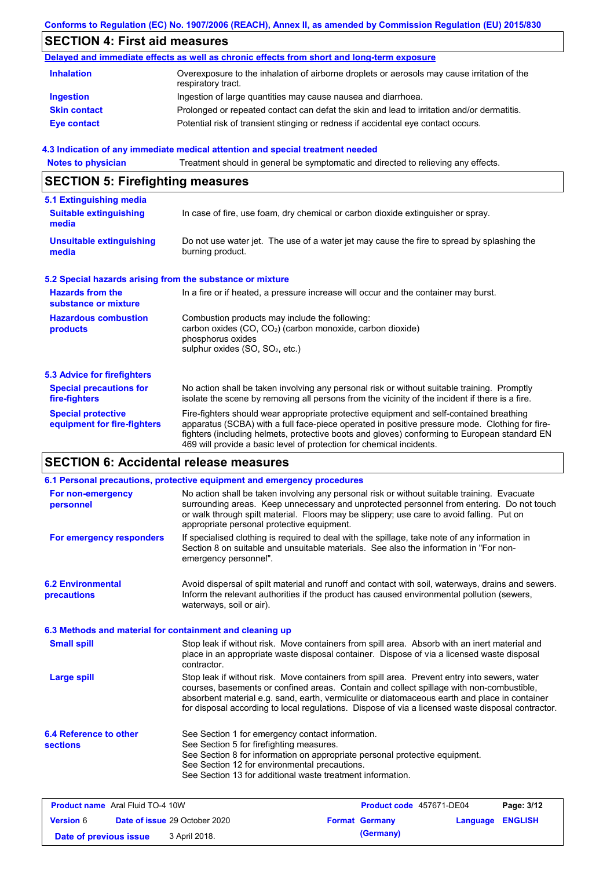#### **Conforms to Regulation (EC) No. 1907/2006 (REACH), Annex II, as amended by Commission Regulation (EU) 2015/830**

## **SECTION 4: First aid measures**

|                     | Delayed and immediate effects as well as chronic effects from short and long-term exposure                        |
|---------------------|-------------------------------------------------------------------------------------------------------------------|
| <b>Inhalation</b>   | Overexposure to the inhalation of airborne droplets or aerosols may cause irritation of the<br>respiratory tract. |
| <b>Ingestion</b>    | Ingestion of large quantities may cause nausea and diarrhoea.                                                     |
| <b>Skin contact</b> | Prolonged or repeated contact can defat the skin and lead to irritation and/or dermatitis.                        |
| <b>Eye contact</b>  | Potential risk of transient stinging or redness if accidental eye contact occurs.                                 |

### **4.3 Indication of any immediate medical attention and special treatment needed**

**Notes to physician** Treatment should in general be symptomatic and directed to relieving any effects.

## **SECTION 5: Firefighting measures**

| 5.1 Extinguishing media                                   |                                                                                                                                                                                                                                                                                                                                                                   |
|-----------------------------------------------------------|-------------------------------------------------------------------------------------------------------------------------------------------------------------------------------------------------------------------------------------------------------------------------------------------------------------------------------------------------------------------|
| <b>Suitable extinguishing</b><br>media                    | In case of fire, use foam, dry chemical or carbon dioxide extinguisher or spray.                                                                                                                                                                                                                                                                                  |
| <b>Unsuitable extinguishing</b><br>media                  | Do not use water jet. The use of a water jet may cause the fire to spread by splashing the<br>burning product.                                                                                                                                                                                                                                                    |
| 5.2 Special hazards arising from the substance or mixture |                                                                                                                                                                                                                                                                                                                                                                   |
| <b>Hazards from the</b><br>substance or mixture           | In a fire or if heated, a pressure increase will occur and the container may burst.                                                                                                                                                                                                                                                                               |
| <b>Hazardous combustion</b><br>products                   | Combustion products may include the following:<br>carbon oxides (CO, CO <sub>2</sub> ) (carbon monoxide, carbon dioxide)<br>phosphorus oxides<br>sulphur oxides (SO, SO <sub>2</sub> , etc.)                                                                                                                                                                      |
| 5.3 Advice for firefighters                               |                                                                                                                                                                                                                                                                                                                                                                   |
| <b>Special precautions for</b><br>fire-fighters           | No action shall be taken involving any personal risk or without suitable training. Promptly<br>isolate the scene by removing all persons from the vicinity of the incident if there is a fire.                                                                                                                                                                    |
| <b>Special protective</b><br>equipment for fire-fighters  | Fire-fighters should wear appropriate protective equipment and self-contained breathing<br>apparatus (SCBA) with a full face-piece operated in positive pressure mode. Clothing for fire-<br>fighters (including helmets, protective boots and gloves) conforming to European standard EN<br>469 will provide a basic level of protection for chemical incidents. |

## **SECTION 6: Accidental release measures**

| 6.1 Personal precautions, protective equipment and emergency procedures |                                                                                                                                                                                                                                                                                                                                                                                                |                                                                                                                                                                                                                                                                                       |          |                |
|-------------------------------------------------------------------------|------------------------------------------------------------------------------------------------------------------------------------------------------------------------------------------------------------------------------------------------------------------------------------------------------------------------------------------------------------------------------------------------|---------------------------------------------------------------------------------------------------------------------------------------------------------------------------------------------------------------------------------------------------------------------------------------|----------|----------------|
| For non-emergency<br>personnel                                          | appropriate personal protective equipment.                                                                                                                                                                                                                                                                                                                                                     | No action shall be taken involving any personal risk or without suitable training. Evacuate<br>surrounding areas. Keep unnecessary and unprotected personnel from entering. Do not touch<br>or walk through spilt material. Floors may be slippery; use care to avoid falling. Put on |          |                |
| For emergency responders                                                | emergency personnel".                                                                                                                                                                                                                                                                                                                                                                          | If specialised clothing is required to deal with the spillage, take note of any information in<br>Section 8 on suitable and unsuitable materials. See also the information in "For non-                                                                                               |          |                |
| <b>6.2 Environmental</b><br>precautions                                 | waterways, soil or air).                                                                                                                                                                                                                                                                                                                                                                       | Avoid dispersal of spilt material and runoff and contact with soil, waterways, drains and sewers.<br>Inform the relevant authorities if the product has caused environmental pollution (sewers,                                                                                       |          |                |
| 6.3 Methods and material for containment and cleaning up                |                                                                                                                                                                                                                                                                                                                                                                                                |                                                                                                                                                                                                                                                                                       |          |                |
| <b>Small spill</b>                                                      | Stop leak if without risk. Move containers from spill area. Absorb with an inert material and<br>place in an appropriate waste disposal container. Dispose of via a licensed waste disposal<br>contractor.                                                                                                                                                                                     |                                                                                                                                                                                                                                                                                       |          |                |
| <b>Large spill</b>                                                      | Stop leak if without risk. Move containers from spill area. Prevent entry into sewers, water<br>courses, basements or confined areas. Contain and collect spillage with non-combustible,<br>absorbent material e.g. sand, earth, vermiculite or diatomaceous earth and place in container<br>for disposal according to local regulations. Dispose of via a licensed waste disposal contractor. |                                                                                                                                                                                                                                                                                       |          |                |
| 6.4 Reference to other<br><b>sections</b>                               | See Section 1 for emergency contact information.<br>See Section 5 for firefighting measures.<br>See Section 12 for environmental precautions.                                                                                                                                                                                                                                                  | See Section 8 for information on appropriate personal protective equipment.<br>See Section 13 for additional waste treatment information.                                                                                                                                             |          |                |
| <b>Product name</b> Aral Fluid TO-4 10W                                 |                                                                                                                                                                                                                                                                                                                                                                                                | Product code 457671-DE04                                                                                                                                                                                                                                                              |          | Page: 3/12     |
| <b>Version 6</b>                                                        | Date of issue 29 October 2020                                                                                                                                                                                                                                                                                                                                                                  | <b>Format Germany</b>                                                                                                                                                                                                                                                                 | Language | <b>ENGLISH</b> |

**Date of previous issue** 3 April 2018. **(Germany)** 3 **(Germany)**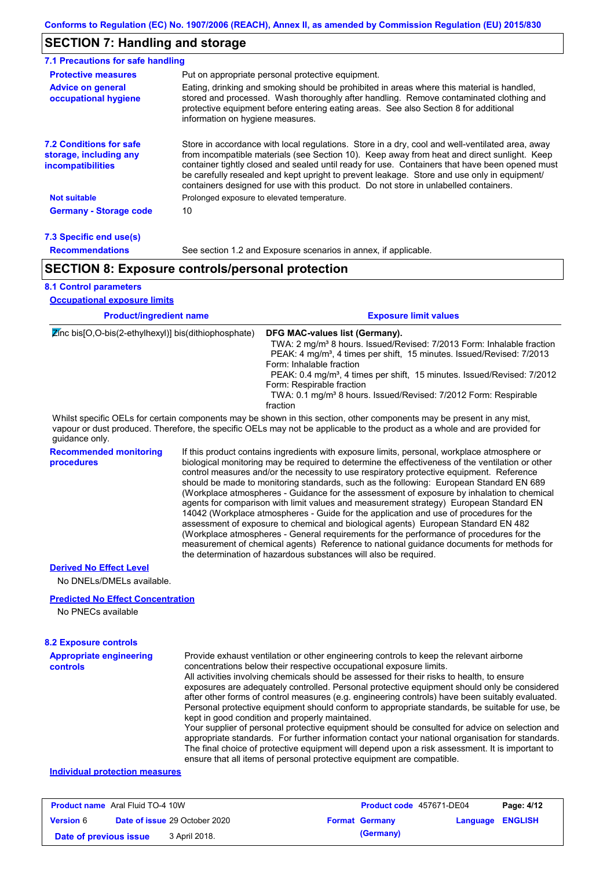### **SECTION 7: Handling and storage**

| 7.1 Precautions for safe handling                                                    |                                                                                                                                                                                                                                                                                                                                                                                                                                                                                          |
|--------------------------------------------------------------------------------------|------------------------------------------------------------------------------------------------------------------------------------------------------------------------------------------------------------------------------------------------------------------------------------------------------------------------------------------------------------------------------------------------------------------------------------------------------------------------------------------|
| <b>Protective measures</b>                                                           | Put on appropriate personal protective equipment.                                                                                                                                                                                                                                                                                                                                                                                                                                        |
| <b>Advice on general</b><br>occupational hygiene                                     | Eating, drinking and smoking should be prohibited in areas where this material is handled.<br>stored and processed. Wash thoroughly after handling. Remove contaminated clothing and<br>protective equipment before entering eating areas. See also Section 8 for additional<br>information on hygiene measures.                                                                                                                                                                         |
| <b>7.2 Conditions for safe</b><br>storage, including any<br><i>incompatibilities</i> | Store in accordance with local regulations. Store in a dry, cool and well-ventilated area, away<br>from incompatible materials (see Section 10). Keep away from heat and direct sunlight. Keep<br>container tightly closed and sealed until ready for use. Containers that have been opened must<br>be carefully resealed and kept upright to prevent leakage. Store and use only in equipment/<br>containers designed for use with this product. Do not store in unlabelled containers. |
| <b>Not suitable</b>                                                                  | Prolonged exposure to elevated temperature.                                                                                                                                                                                                                                                                                                                                                                                                                                              |
| <b>Germany - Storage code</b>                                                        | 10                                                                                                                                                                                                                                                                                                                                                                                                                                                                                       |
|                                                                                      |                                                                                                                                                                                                                                                                                                                                                                                                                                                                                          |

| 7.3 Specific end use(s) |  |
|-------------------------|--|
| <b>Recommendations</b>  |  |

See section 1.2 and Exposure scenarios in annex, if applicable.

### **SECTION 8: Exposure controls/personal protection**

### **8.1 Control parameters**

| <b>Occupational exposure limits</b>                                                                |  |                                                                                                                                                                                                                                                                                                                                                                                                                                                     |  |  |
|----------------------------------------------------------------------------------------------------|--|-----------------------------------------------------------------------------------------------------------------------------------------------------------------------------------------------------------------------------------------------------------------------------------------------------------------------------------------------------------------------------------------------------------------------------------------------------|--|--|
| <b>Product/ingredient name</b><br>$\mathbb{Z}$ inc bis[O,O-bis(2-ethylhexyl)] bis(dithiophosphate) |  | <b>Exposure limit values</b>                                                                                                                                                                                                                                                                                                                                                                                                                        |  |  |
|                                                                                                    |  | DFG MAC-values list (Germany).<br>TWA: 2 mg/m <sup>3</sup> 8 hours. Issued/Revised: 7/2013 Form: Inhalable fraction<br>PEAK: 4 mg/m <sup>3</sup> , 4 times per shift, 15 minutes. Issued/Revised: 7/2013<br>Form: Inhalable fraction<br>PEAK: 0.4 mg/m <sup>3</sup> , 4 times per shift, 15 minutes. Issued/Revised: 7/2012<br>Form: Respirable fraction<br>TWA: 0.1 mg/m <sup>3</sup> 8 hours. Issued/Revised: 7/2012 Form: Respirable<br>fraction |  |  |
| quidance only.                                                                                     |  | Whilst specific OELs for certain components may be shown in this section, other components may be present in any mist,<br>vapour or dust produced. Therefore, the specific OELs may not be applicable to the product as a whole and are provided for                                                                                                                                                                                                |  |  |
| <b>Recommended monitoring</b>                                                                      |  | If this product contains ingredients with exposure limits, personal, workplace atmosphere or                                                                                                                                                                                                                                                                                                                                                        |  |  |

**procedures**

biological monitoring may be required to determine the effectiveness of the ventilation or other control measures and/or the necessity to use respiratory protective equipment. Reference should be made to monitoring standards, such as the following: European Standard EN 689 (Workplace atmospheres - Guidance for the assessment of exposure by inhalation to chemical agents for comparison with limit values and measurement strategy) European Standard EN 14042 (Workplace atmospheres - Guide for the application and use of procedures for the assessment of exposure to chemical and biological agents) European Standard EN 482 (Workplace atmospheres - General requirements for the performance of procedures for the measurement of chemical agents) Reference to national guidance documents for methods for the determination of hazardous substances will also be required.

#### **Derived No Effect Level**

No DNELs/DMELs available.

#### **Predicted No Effect Concentration**

No PNECs available

### **8.2 Exposure controls**

| <b>Appropriate engineering</b> | Provide exhaust ventilation or other engineering controls to keep the relevant airborne          |
|--------------------------------|--------------------------------------------------------------------------------------------------|
| <b>controls</b>                | concentrations below their respective occupational exposure limits.                              |
|                                | All activities involving chemicals should be assessed for their risks to health, to ensure       |
|                                | exposures are adequately controlled. Personal protective equipment should only be considered     |
|                                | after other forms of control measures (e.g. engineering controls) have been suitably evaluated.  |
|                                | Personal protective equipment should conform to appropriate standards, be suitable for use, be   |
|                                | kept in good condition and properly maintained.                                                  |
|                                | Your supplier of personal protective equipment should be consulted for advice on selection and   |
|                                | appropriate standards. For further information contact your national organisation for standards. |
|                                | The final choice of protective equipment will depend upon a risk assessment. It is important to  |
|                                | ensure that all items of personal protective equipment are compatible.                           |

#### **Individual protection measures**

| <b>Product name</b> Aral Fluid TO-4 10W |  |                                      | Product code 457671-DE04 |                       | Page: 4/12       |  |
|-----------------------------------------|--|--------------------------------------|--------------------------|-----------------------|------------------|--|
| <b>Version 6</b>                        |  | <b>Date of issue 29 October 2020</b> |                          | <b>Format Germany</b> | Language ENGLISH |  |
| Date of previous issue                  |  | 3 April 2018.                        |                          | (Germany)             |                  |  |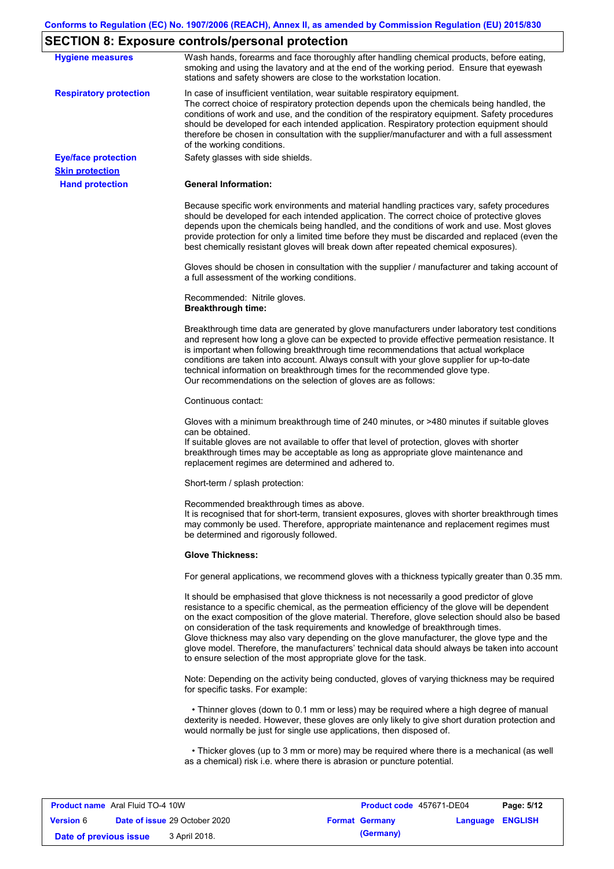# **SECTION 8: Exposure controls/personal protection**

| <b>Hygiene measures</b>       | Wash hands, forearms and face thoroughly after handling chemical products, before eating,<br>smoking and using the lavatory and at the end of the working period. Ensure that eyewash<br>stations and safety showers are close to the workstation location.                                                                                                                                                                                                                                                                                                                                                                                       |
|-------------------------------|---------------------------------------------------------------------------------------------------------------------------------------------------------------------------------------------------------------------------------------------------------------------------------------------------------------------------------------------------------------------------------------------------------------------------------------------------------------------------------------------------------------------------------------------------------------------------------------------------------------------------------------------------|
| <b>Respiratory protection</b> | In case of insufficient ventilation, wear suitable respiratory equipment.<br>The correct choice of respiratory protection depends upon the chemicals being handled, the<br>conditions of work and use, and the condition of the respiratory equipment. Safety procedures<br>should be developed for each intended application. Respiratory protection equipment should<br>therefore be chosen in consultation with the supplier/manufacturer and with a full assessment<br>of the working conditions.                                                                                                                                             |
| <b>Eye/face protection</b>    | Safety glasses with side shields.                                                                                                                                                                                                                                                                                                                                                                                                                                                                                                                                                                                                                 |
| <b>Skin protection</b>        |                                                                                                                                                                                                                                                                                                                                                                                                                                                                                                                                                                                                                                                   |
| <b>Hand protection</b>        | <b>General Information:</b>                                                                                                                                                                                                                                                                                                                                                                                                                                                                                                                                                                                                                       |
|                               | Because specific work environments and material handling practices vary, safety procedures<br>should be developed for each intended application. The correct choice of protective gloves<br>depends upon the chemicals being handled, and the conditions of work and use. Most gloves<br>provide protection for only a limited time before they must be discarded and replaced (even the<br>best chemically resistant gloves will break down after repeated chemical exposures).                                                                                                                                                                  |
|                               | Gloves should be chosen in consultation with the supplier / manufacturer and taking account of<br>a full assessment of the working conditions.                                                                                                                                                                                                                                                                                                                                                                                                                                                                                                    |
|                               | Recommended: Nitrile gloves.<br><b>Breakthrough time:</b>                                                                                                                                                                                                                                                                                                                                                                                                                                                                                                                                                                                         |
|                               | Breakthrough time data are generated by glove manufacturers under laboratory test conditions<br>and represent how long a glove can be expected to provide effective permeation resistance. It<br>is important when following breakthrough time recommendations that actual workplace<br>conditions are taken into account. Always consult with your glove supplier for up-to-date<br>technical information on breakthrough times for the recommended glove type.<br>Our recommendations on the selection of gloves are as follows:                                                                                                                |
|                               | Continuous contact:                                                                                                                                                                                                                                                                                                                                                                                                                                                                                                                                                                                                                               |
|                               | Gloves with a minimum breakthrough time of 240 minutes, or >480 minutes if suitable gloves<br>can be obtained.<br>If suitable gloves are not available to offer that level of protection, gloves with shorter<br>breakthrough times may be acceptable as long as appropriate glove maintenance and<br>replacement regimes are determined and adhered to.                                                                                                                                                                                                                                                                                          |
|                               | Short-term / splash protection:                                                                                                                                                                                                                                                                                                                                                                                                                                                                                                                                                                                                                   |
|                               | Recommended breakthrough times as above.<br>It is recognised that for short-term, transient exposures, gloves with shorter breakthrough times<br>may commonly be used. Therefore, appropriate maintenance and replacement regimes must<br>be determined and rigorously followed.                                                                                                                                                                                                                                                                                                                                                                  |
|                               | <b>Glove Thickness:</b>                                                                                                                                                                                                                                                                                                                                                                                                                                                                                                                                                                                                                           |
|                               | For general applications, we recommend gloves with a thickness typically greater than 0.35 mm.                                                                                                                                                                                                                                                                                                                                                                                                                                                                                                                                                    |
|                               | It should be emphasised that glove thickness is not necessarily a good predictor of glove<br>resistance to a specific chemical, as the permeation efficiency of the glove will be dependent<br>on the exact composition of the glove material. Therefore, glove selection should also be based<br>on consideration of the task requirements and knowledge of breakthrough times.<br>Glove thickness may also vary depending on the glove manufacturer, the glove type and the<br>glove model. Therefore, the manufacturers' technical data should always be taken into account<br>to ensure selection of the most appropriate glove for the task. |
|                               | Note: Depending on the activity being conducted, gloves of varying thickness may be required<br>for specific tasks. For example:                                                                                                                                                                                                                                                                                                                                                                                                                                                                                                                  |
|                               | • Thinner gloves (down to 0.1 mm or less) may be required where a high degree of manual<br>dexterity is needed. However, these gloves are only likely to give short duration protection and<br>would normally be just for single use applications, then disposed of.                                                                                                                                                                                                                                                                                                                                                                              |
|                               | • Thicker gloves (up to 3 mm or more) may be required where there is a mechanical (as well<br>as a chemical) risk i.e. where there is abrasion or puncture potential.                                                                                                                                                                                                                                                                                                                                                                                                                                                                             |

| <b>Product name</b> Aral Fluid TO-4 10W |  |                                      | <b>Product code</b> 457671-DE04 |                       | Page: 5/12 |                |
|-----------------------------------------|--|--------------------------------------|---------------------------------|-----------------------|------------|----------------|
| <b>Version 6</b>                        |  | <b>Date of issue 29 October 2020</b> |                                 | <b>Format Germany</b> | Language   | <b>ENGLISH</b> |
| Date of previous issue                  |  | 3 April 2018.                        |                                 | (Germany)             |            |                |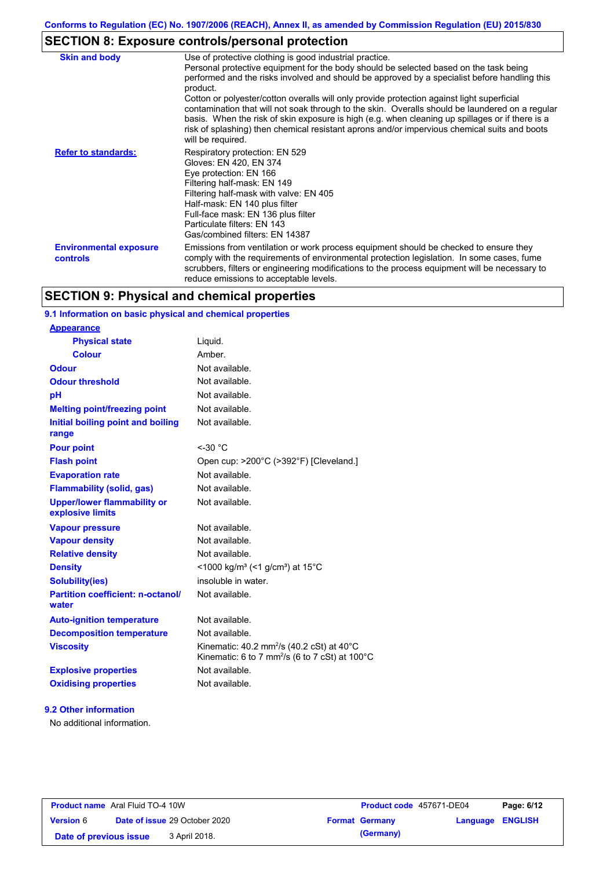# **SECTION 8: Exposure controls/personal protection**

| <b>Skin and body</b>                             | Use of protective clothing is good industrial practice.                                                                                                                                                                                                                                                                                                                                                                                                                                                                                                                                                                    |
|--------------------------------------------------|----------------------------------------------------------------------------------------------------------------------------------------------------------------------------------------------------------------------------------------------------------------------------------------------------------------------------------------------------------------------------------------------------------------------------------------------------------------------------------------------------------------------------------------------------------------------------------------------------------------------------|
|                                                  | Personal protective equipment for the body should be selected based on the task being<br>performed and the risks involved and should be approved by a specialist before handling this<br>product.<br>Cotton or polyester/cotton overalls will only provide protection against light superficial<br>contamination that will not soak through to the skin. Overalls should be laundered on a regular<br>basis. When the risk of skin exposure is high (e.g. when cleaning up spillages or if there is a<br>risk of splashing) then chemical resistant aprons and/or impervious chemical suits and boots<br>will be required. |
| <b>Refer to standards:</b>                       | Respiratory protection: EN 529<br>Gloves: EN 420, EN 374<br>Eye protection: EN 166<br>Filtering half-mask: EN 149<br>Filtering half-mask with valve: EN 405<br>Half-mask: EN 140 plus filter<br>Full-face mask: EN 136 plus filter<br>Particulate filters: EN 143<br>Gas/combined filters: EN 14387                                                                                                                                                                                                                                                                                                                        |
| <b>Environmental exposure</b><br><b>controls</b> | Emissions from ventilation or work process equipment should be checked to ensure they<br>comply with the requirements of environmental protection legislation. In some cases, fume<br>scrubbers, filters or engineering modifications to the process equipment will be necessary to<br>reduce emissions to acceptable levels.                                                                                                                                                                                                                                                                                              |

## **SECTION 9: Physical and chemical properties**

### **9.1 Information on basic physical and chemical properties**

| <b>Appearance</b>                                      |                                                                                                                                          |
|--------------------------------------------------------|------------------------------------------------------------------------------------------------------------------------------------------|
| <b>Physical state</b>                                  | Liquid.                                                                                                                                  |
| <b>Colour</b>                                          | Amber                                                                                                                                    |
| <b>Odour</b>                                           | Not available.                                                                                                                           |
| <b>Odour threshold</b>                                 | Not available.                                                                                                                           |
| pH                                                     | Not available.                                                                                                                           |
| <b>Melting point/freezing point</b>                    | Not available.                                                                                                                           |
| Initial boiling point and boiling<br>range             | Not available.                                                                                                                           |
| <b>Pour point</b>                                      | $<$ -30 $^{\circ}$ C                                                                                                                     |
| <b>Flash point</b>                                     | Open cup: >200°C (>392°F) [Cleveland.]                                                                                                   |
| <b>Evaporation rate</b>                                | Not available.                                                                                                                           |
| <b>Flammability (solid, gas)</b>                       | Not available.                                                                                                                           |
| <b>Upper/lower flammability or</b><br>explosive limits | Not available.                                                                                                                           |
| <b>Vapour pressure</b>                                 | Not available.                                                                                                                           |
| <b>Vapour density</b>                                  | Not available.                                                                                                                           |
| <b>Relative density</b>                                | Not available.                                                                                                                           |
| <b>Density</b>                                         | <1000 kg/m <sup>3</sup> (<1 g/cm <sup>3</sup> ) at 15 <sup>°</sup> C                                                                     |
| <b>Solubility(ies)</b>                                 | insoluble in water.                                                                                                                      |
| <b>Partition coefficient: n-octanol/</b><br>water      | Not available.                                                                                                                           |
| <b>Auto-ignition temperature</b>                       | Not available.                                                                                                                           |
| <b>Decomposition temperature</b>                       | Not available.                                                                                                                           |
| <b>Viscosity</b>                                       | Kinematic: 40.2 mm <sup>2</sup> /s (40.2 cSt) at 40 $^{\circ}$ C<br>Kinematic: 6 to 7 mm <sup>2</sup> /s (6 to 7 cSt) at $100^{\circ}$ C |
| <b>Explosive properties</b>                            | Not available.                                                                                                                           |
| <b>Oxidising properties</b>                            | Not available.                                                                                                                           |

#### **9.2 Other information**

No additional information.

| <b>Product name</b> Aral Fluid TO-4 10W |  |                                      | <b>Product code</b> 457671-DE04 |                       | Page: 6/12       |  |
|-----------------------------------------|--|--------------------------------------|---------------------------------|-----------------------|------------------|--|
| <b>Version 6</b>                        |  | <b>Date of issue 29 October 2020</b> |                                 | <b>Format Germany</b> | Language ENGLISH |  |
| Date of previous issue                  |  | 3 April 2018.                        |                                 | (Germany)             |                  |  |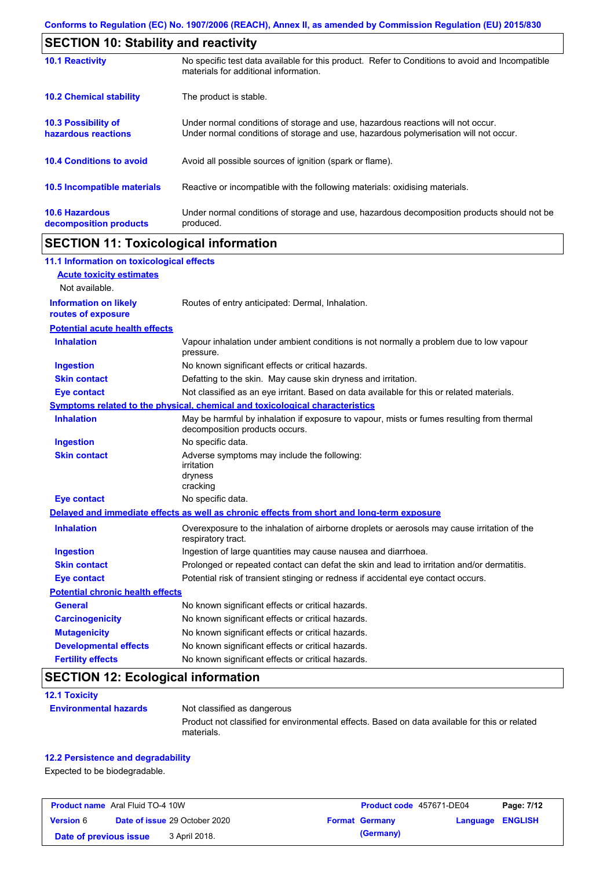| <b>SECTION 10: Stability and reactivity</b>       |                                                                                                                                                                         |  |  |  |
|---------------------------------------------------|-------------------------------------------------------------------------------------------------------------------------------------------------------------------------|--|--|--|
| <b>10.1 Reactivity</b>                            | No specific test data available for this product. Refer to Conditions to avoid and Incompatible<br>materials for additional information.                                |  |  |  |
| <b>10.2 Chemical stability</b>                    | The product is stable.                                                                                                                                                  |  |  |  |
| <b>10.3 Possibility of</b><br>hazardous reactions | Under normal conditions of storage and use, hazardous reactions will not occur.<br>Under normal conditions of storage and use, hazardous polymerisation will not occur. |  |  |  |
| <b>10.4 Conditions to avoid</b>                   | Avoid all possible sources of ignition (spark or flame).                                                                                                                |  |  |  |
| <b>10.5 Incompatible materials</b>                | Reactive or incompatible with the following materials: oxidising materials.                                                                                             |  |  |  |
| <b>10.6 Hazardous</b><br>decomposition products   | Under normal conditions of storage and use, hazardous decomposition products should not be<br>produced.                                                                 |  |  |  |

## **SECTION 11: Toxicological information**

| <b>Acute toxicity estimates</b><br>Not available.<br><b>Information on likely</b><br>Routes of entry anticipated: Dermal, Inhalation.<br>routes of exposure<br><b>Potential acute health effects</b><br><b>Inhalation</b><br>Vapour inhalation under ambient conditions is not normally a problem due to low vapour<br>pressure.<br>No known significant effects or critical hazards.<br><b>Ingestion</b><br><b>Skin contact</b><br>Defatting to the skin. May cause skin dryness and irritation.<br>Not classified as an eye irritant. Based on data available for this or related materials.<br><b>Eye contact</b><br>Symptoms related to the physical, chemical and toxicological characteristics<br><b>Inhalation</b><br>May be harmful by inhalation if exposure to vapour, mists or fumes resulting from thermal<br>decomposition products occurs.<br>No specific data.<br><b>Ingestion</b><br><b>Skin contact</b><br>Adverse symptoms may include the following:<br>irritation<br>dryness<br>cracking<br>No specific data.<br><b>Eye contact</b><br>Delayed and immediate effects as well as chronic effects from short and long-term exposure<br><b>Inhalation</b><br>Overexposure to the inhalation of airborne droplets or aerosols may cause irritation of the<br>respiratory tract.<br><b>Ingestion</b><br>Ingestion of large quantities may cause nausea and diarrhoea.<br>Prolonged or repeated contact can defat the skin and lead to irritation and/or dermatitis.<br><b>Skin contact</b><br>Potential risk of transient stinging or redness if accidental eye contact occurs.<br><b>Eye contact</b><br><b>Potential chronic health effects</b><br>General<br>No known significant effects or critical hazards.<br>No known significant effects or critical hazards.<br><b>Carcinogenicity</b><br><b>Mutagenicity</b><br>No known significant effects or critical hazards.<br><b>Developmental effects</b><br>No known significant effects or critical hazards.<br><b>Fertility effects</b><br>No known significant effects or critical hazards. | 11.1 Information on toxicological effects |  |
|------------------------------------------------------------------------------------------------------------------------------------------------------------------------------------------------------------------------------------------------------------------------------------------------------------------------------------------------------------------------------------------------------------------------------------------------------------------------------------------------------------------------------------------------------------------------------------------------------------------------------------------------------------------------------------------------------------------------------------------------------------------------------------------------------------------------------------------------------------------------------------------------------------------------------------------------------------------------------------------------------------------------------------------------------------------------------------------------------------------------------------------------------------------------------------------------------------------------------------------------------------------------------------------------------------------------------------------------------------------------------------------------------------------------------------------------------------------------------------------------------------------------------------------------------------------------------------------------------------------------------------------------------------------------------------------------------------------------------------------------------------------------------------------------------------------------------------------------------------------------------------------------------------------------------------------------------------------------------------------------------------------------------------------------------------------|-------------------------------------------|--|
|                                                                                                                                                                                                                                                                                                                                                                                                                                                                                                                                                                                                                                                                                                                                                                                                                                                                                                                                                                                                                                                                                                                                                                                                                                                                                                                                                                                                                                                                                                                                                                                                                                                                                                                                                                                                                                                                                                                                                                                                                                                                  |                                           |  |
|                                                                                                                                                                                                                                                                                                                                                                                                                                                                                                                                                                                                                                                                                                                                                                                                                                                                                                                                                                                                                                                                                                                                                                                                                                                                                                                                                                                                                                                                                                                                                                                                                                                                                                                                                                                                                                                                                                                                                                                                                                                                  |                                           |  |
|                                                                                                                                                                                                                                                                                                                                                                                                                                                                                                                                                                                                                                                                                                                                                                                                                                                                                                                                                                                                                                                                                                                                                                                                                                                                                                                                                                                                                                                                                                                                                                                                                                                                                                                                                                                                                                                                                                                                                                                                                                                                  |                                           |  |
|                                                                                                                                                                                                                                                                                                                                                                                                                                                                                                                                                                                                                                                                                                                                                                                                                                                                                                                                                                                                                                                                                                                                                                                                                                                                                                                                                                                                                                                                                                                                                                                                                                                                                                                                                                                                                                                                                                                                                                                                                                                                  |                                           |  |
|                                                                                                                                                                                                                                                                                                                                                                                                                                                                                                                                                                                                                                                                                                                                                                                                                                                                                                                                                                                                                                                                                                                                                                                                                                                                                                                                                                                                                                                                                                                                                                                                                                                                                                                                                                                                                                                                                                                                                                                                                                                                  |                                           |  |
|                                                                                                                                                                                                                                                                                                                                                                                                                                                                                                                                                                                                                                                                                                                                                                                                                                                                                                                                                                                                                                                                                                                                                                                                                                                                                                                                                                                                                                                                                                                                                                                                                                                                                                                                                                                                                                                                                                                                                                                                                                                                  |                                           |  |
|                                                                                                                                                                                                                                                                                                                                                                                                                                                                                                                                                                                                                                                                                                                                                                                                                                                                                                                                                                                                                                                                                                                                                                                                                                                                                                                                                                                                                                                                                                                                                                                                                                                                                                                                                                                                                                                                                                                                                                                                                                                                  |                                           |  |
|                                                                                                                                                                                                                                                                                                                                                                                                                                                                                                                                                                                                                                                                                                                                                                                                                                                                                                                                                                                                                                                                                                                                                                                                                                                                                                                                                                                                                                                                                                                                                                                                                                                                                                                                                                                                                                                                                                                                                                                                                                                                  |                                           |  |
|                                                                                                                                                                                                                                                                                                                                                                                                                                                                                                                                                                                                                                                                                                                                                                                                                                                                                                                                                                                                                                                                                                                                                                                                                                                                                                                                                                                                                                                                                                                                                                                                                                                                                                                                                                                                                                                                                                                                                                                                                                                                  |                                           |  |
|                                                                                                                                                                                                                                                                                                                                                                                                                                                                                                                                                                                                                                                                                                                                                                                                                                                                                                                                                                                                                                                                                                                                                                                                                                                                                                                                                                                                                                                                                                                                                                                                                                                                                                                                                                                                                                                                                                                                                                                                                                                                  |                                           |  |
|                                                                                                                                                                                                                                                                                                                                                                                                                                                                                                                                                                                                                                                                                                                                                                                                                                                                                                                                                                                                                                                                                                                                                                                                                                                                                                                                                                                                                                                                                                                                                                                                                                                                                                                                                                                                                                                                                                                                                                                                                                                                  |                                           |  |
|                                                                                                                                                                                                                                                                                                                                                                                                                                                                                                                                                                                                                                                                                                                                                                                                                                                                                                                                                                                                                                                                                                                                                                                                                                                                                                                                                                                                                                                                                                                                                                                                                                                                                                                                                                                                                                                                                                                                                                                                                                                                  |                                           |  |
|                                                                                                                                                                                                                                                                                                                                                                                                                                                                                                                                                                                                                                                                                                                                                                                                                                                                                                                                                                                                                                                                                                                                                                                                                                                                                                                                                                                                                                                                                                                                                                                                                                                                                                                                                                                                                                                                                                                                                                                                                                                                  |                                           |  |
|                                                                                                                                                                                                                                                                                                                                                                                                                                                                                                                                                                                                                                                                                                                                                                                                                                                                                                                                                                                                                                                                                                                                                                                                                                                                                                                                                                                                                                                                                                                                                                                                                                                                                                                                                                                                                                                                                                                                                                                                                                                                  |                                           |  |
|                                                                                                                                                                                                                                                                                                                                                                                                                                                                                                                                                                                                                                                                                                                                                                                                                                                                                                                                                                                                                                                                                                                                                                                                                                                                                                                                                                                                                                                                                                                                                                                                                                                                                                                                                                                                                                                                                                                                                                                                                                                                  |                                           |  |
|                                                                                                                                                                                                                                                                                                                                                                                                                                                                                                                                                                                                                                                                                                                                                                                                                                                                                                                                                                                                                                                                                                                                                                                                                                                                                                                                                                                                                                                                                                                                                                                                                                                                                                                                                                                                                                                                                                                                                                                                                                                                  |                                           |  |
|                                                                                                                                                                                                                                                                                                                                                                                                                                                                                                                                                                                                                                                                                                                                                                                                                                                                                                                                                                                                                                                                                                                                                                                                                                                                                                                                                                                                                                                                                                                                                                                                                                                                                                                                                                                                                                                                                                                                                                                                                                                                  |                                           |  |
|                                                                                                                                                                                                                                                                                                                                                                                                                                                                                                                                                                                                                                                                                                                                                                                                                                                                                                                                                                                                                                                                                                                                                                                                                                                                                                                                                                                                                                                                                                                                                                                                                                                                                                                                                                                                                                                                                                                                                                                                                                                                  |                                           |  |
|                                                                                                                                                                                                                                                                                                                                                                                                                                                                                                                                                                                                                                                                                                                                                                                                                                                                                                                                                                                                                                                                                                                                                                                                                                                                                                                                                                                                                                                                                                                                                                                                                                                                                                                                                                                                                                                                                                                                                                                                                                                                  |                                           |  |
|                                                                                                                                                                                                                                                                                                                                                                                                                                                                                                                                                                                                                                                                                                                                                                                                                                                                                                                                                                                                                                                                                                                                                                                                                                                                                                                                                                                                                                                                                                                                                                                                                                                                                                                                                                                                                                                                                                                                                                                                                                                                  |                                           |  |
|                                                                                                                                                                                                                                                                                                                                                                                                                                                                                                                                                                                                                                                                                                                                                                                                                                                                                                                                                                                                                                                                                                                                                                                                                                                                                                                                                                                                                                                                                                                                                                                                                                                                                                                                                                                                                                                                                                                                                                                                                                                                  |                                           |  |
|                                                                                                                                                                                                                                                                                                                                                                                                                                                                                                                                                                                                                                                                                                                                                                                                                                                                                                                                                                                                                                                                                                                                                                                                                                                                                                                                                                                                                                                                                                                                                                                                                                                                                                                                                                                                                                                                                                                                                                                                                                                                  |                                           |  |
|                                                                                                                                                                                                                                                                                                                                                                                                                                                                                                                                                                                                                                                                                                                                                                                                                                                                                                                                                                                                                                                                                                                                                                                                                                                                                                                                                                                                                                                                                                                                                                                                                                                                                                                                                                                                                                                                                                                                                                                                                                                                  |                                           |  |
|                                                                                                                                                                                                                                                                                                                                                                                                                                                                                                                                                                                                                                                                                                                                                                                                                                                                                                                                                                                                                                                                                                                                                                                                                                                                                                                                                                                                                                                                                                                                                                                                                                                                                                                                                                                                                                                                                                                                                                                                                                                                  |                                           |  |

# **SECTION 12: Ecological information**

| <b>12.1 Toxicity</b> |                             |  |
|----------------------|-----------------------------|--|
|                      | <b>Environmental hazard</b> |  |

**ds** Not classified as dangerous Product not classified for environmental effects. Based on data available for this or related materials.

#### **12.2 Persistence and degradability**

Expected to be biodegradable.

| <b>Product name</b> Aral Fluid TO-4 10W |  |                                      | Product code 457671-DE04 |                       | Page: 7/12              |  |
|-----------------------------------------|--|--------------------------------------|--------------------------|-----------------------|-------------------------|--|
| <b>Version 6</b>                        |  | <b>Date of issue 29 October 2020</b> |                          | <b>Format Germany</b> | <b>Language ENGLISH</b> |  |
| Date of previous issue                  |  | 3 April 2018.                        |                          | (Germany)             |                         |  |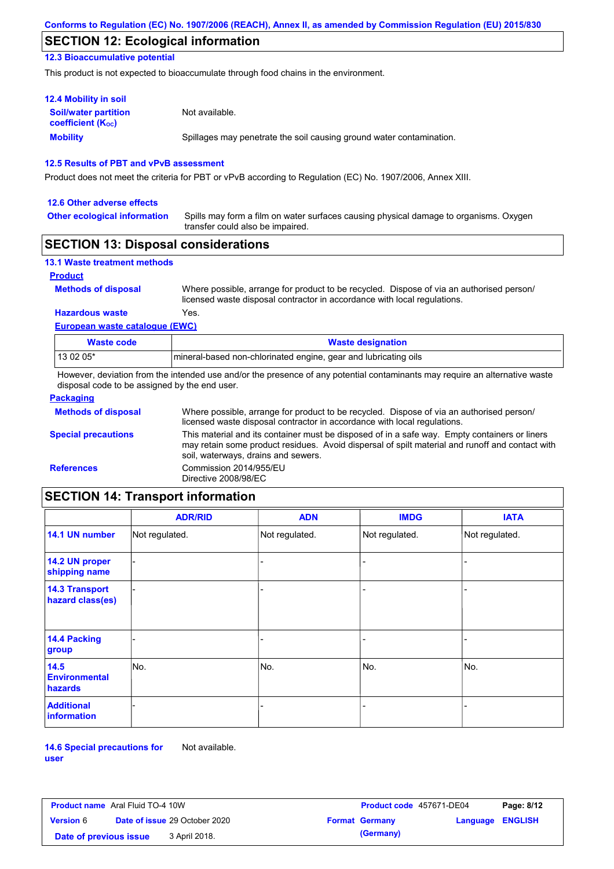## **SECTION 12: Ecological information**

**12.3 Bioaccumulative potential**

This product is not expected to bioaccumulate through food chains in the environment.

| <b>12.4 Mobility in soil</b>                                         |                                                                      |
|----------------------------------------------------------------------|----------------------------------------------------------------------|
| <b>Soil/water partition</b><br><b>coefficient</b> (K <sub>oc</sub> ) | Not available.                                                       |
| <b>Mobility</b>                                                      | Spillages may penetrate the soil causing ground water contamination. |

### **12.5 Results of PBT and vPvB assessment**

Product does not meet the criteria for PBT or vPvB according to Regulation (EC) No. 1907/2006, Annex XIII.

### **12.6 Other adverse effects Other ecological information**

Spills may form a film on water surfaces causing physical damage to organisms. Oxygen transfer could also be impaired.

### **SECTION 13: Disposal considerations**

| <b>13.1 Waste treatment methods</b> |                                                                                                                                                                      |
|-------------------------------------|----------------------------------------------------------------------------------------------------------------------------------------------------------------------|
| <b>Product</b>                      |                                                                                                                                                                      |
| <b>Methods of disposal</b>          | Where possible, arrange for product to be recycled. Dispose of via an authorised person/<br>licensed waste disposal contractor in accordance with local regulations. |
| <b>Hazardous waste</b>              | Yes.                                                                                                                                                                 |
| European waste catalogue (EWC)      |                                                                                                                                                                      |
| <b>Waste code</b>                   | <b>Waste designation</b>                                                                                                                                             |
| 13 02 05*                           | Imineral-based non-chlorinated engine, gear and lubricating oils                                                                                                     |

However, deviation from the intended use and/or the presence of any potential contaminants may require an alternative waste disposal code to be assigned by the end user.

| <b>Packaging</b>           |                                                                                                                                                                                                                                         |
|----------------------------|-----------------------------------------------------------------------------------------------------------------------------------------------------------------------------------------------------------------------------------------|
| <b>Methods of disposal</b> | Where possible, arrange for product to be recycled. Dispose of via an authorised person/<br>licensed waste disposal contractor in accordance with local regulations.                                                                    |
| <b>Special precautions</b> | This material and its container must be disposed of in a safe way. Empty containers or liners<br>may retain some product residues. Avoid dispersal of spilt material and runoff and contact with<br>soil, waterways, drains and sewers. |
| <b>References</b>          | Commission 2014/955/EU<br>Directive 2008/98/EC                                                                                                                                                                                          |

# **SECTION 14: Transport information**

|                                           | <b>ADR/RID</b> | <b>ADN</b>     | <b>IMDG</b>    | <b>IATA</b>    |
|-------------------------------------------|----------------|----------------|----------------|----------------|
| 14.1 UN number                            | Not regulated. | Not regulated. | Not regulated. | Not regulated. |
| 14.2 UN proper<br>shipping name           |                |                | -              |                |
| <b>14.3 Transport</b><br>hazard class(es) |                |                | -              |                |
| <b>14.4 Packing</b><br>group              |                |                |                |                |
| 14.5<br><b>Environmental</b><br>hazards   | No.            | No.            | No.            | No.            |
| <b>Additional</b><br><b>information</b>   |                |                |                |                |

**14.6 Special precautions for user** Not available.

| <b>Product name</b> Aral Fluid TO-4 10W |  | Product code 457671-DE04             |  | Page: 8/12            |                  |  |
|-----------------------------------------|--|--------------------------------------|--|-----------------------|------------------|--|
| <b>Version</b> 6                        |  | <b>Date of issue 29 October 2020</b> |  | <b>Format Germany</b> | Language ENGLISH |  |
| Date of previous issue                  |  | 3 April 2018.                        |  | (Germany)             |                  |  |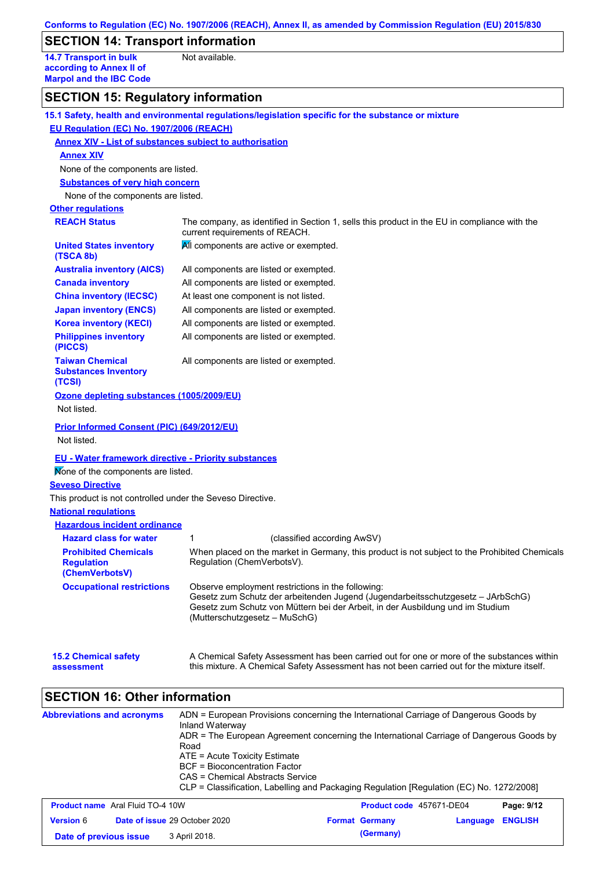## **SECTION 14: Transport information**

**14.7 Transport in bulk according to Annex II of Marpol and the IBC Code** Not available.

## **SECTION 15: Regulatory information**

|                                                                  | 15.1 Safety, health and environmental regulations/legislation specific for the substance or mixture                                                                                                                                                                                   |
|------------------------------------------------------------------|---------------------------------------------------------------------------------------------------------------------------------------------------------------------------------------------------------------------------------------------------------------------------------------|
| EU Regulation (EC) No. 1907/2006 (REACH)                         |                                                                                                                                                                                                                                                                                       |
|                                                                  | <b>Annex XIV - List of substances subject to authorisation</b>                                                                                                                                                                                                                        |
| <b>Annex XIV</b>                                                 |                                                                                                                                                                                                                                                                                       |
| None of the components are listed.                               |                                                                                                                                                                                                                                                                                       |
| <b>Substances of very high concern</b>                           |                                                                                                                                                                                                                                                                                       |
| None of the components are listed.                               |                                                                                                                                                                                                                                                                                       |
| <b>Other regulations</b>                                         |                                                                                                                                                                                                                                                                                       |
| <b>REACH Status</b>                                              | The company, as identified in Section 1, sells this product in the EU in compliance with the<br>current requirements of REACH.                                                                                                                                                        |
| <b>United States inventory</b><br>(TSCA 8b)                      | All components are active or exempted.                                                                                                                                                                                                                                                |
| <b>Australia inventory (AICS)</b>                                | All components are listed or exempted.                                                                                                                                                                                                                                                |
| <b>Canada inventory</b>                                          | All components are listed or exempted.                                                                                                                                                                                                                                                |
| <b>China inventory (IECSC)</b>                                   | At least one component is not listed.                                                                                                                                                                                                                                                 |
| <b>Japan inventory (ENCS)</b>                                    | All components are listed or exempted.                                                                                                                                                                                                                                                |
| <b>Korea inventory (KECI)</b>                                    | All components are listed or exempted.                                                                                                                                                                                                                                                |
| <b>Philippines inventory</b><br>(PICCS)                          | All components are listed or exempted.                                                                                                                                                                                                                                                |
| <b>Taiwan Chemical</b><br><b>Substances Inventory</b><br>(TCSI)  | All components are listed or exempted.                                                                                                                                                                                                                                                |
| Ozone depleting substances (1005/2009/EU)                        |                                                                                                                                                                                                                                                                                       |
| Not listed.                                                      |                                                                                                                                                                                                                                                                                       |
| <b>Prior Informed Consent (PIC) (649/2012/EU)</b><br>Not listed. |                                                                                                                                                                                                                                                                                       |
| <b>EU - Water framework directive - Priority substances</b>      |                                                                                                                                                                                                                                                                                       |
| Mone of the components are listed.                               |                                                                                                                                                                                                                                                                                       |
| <b>Seveso Directive</b>                                          |                                                                                                                                                                                                                                                                                       |
| This product is not controlled under the Seveso Directive.       |                                                                                                                                                                                                                                                                                       |
| <b>National regulations</b>                                      |                                                                                                                                                                                                                                                                                       |
| <b>Hazardous incident ordinance</b>                              |                                                                                                                                                                                                                                                                                       |
| <b>Hazard class for water</b>                                    | 1<br>(classified according AwSV)                                                                                                                                                                                                                                                      |
| <b>Prohibited Chemicals</b>                                      | When placed on the market in Germany, this product is not subject to the Prohibited Chemicals                                                                                                                                                                                         |
| <b>Regulation</b><br>(ChemVerbotsV)                              | Regulation (ChemVerbotsV).                                                                                                                                                                                                                                                            |
| <b>Occupational restrictions</b>                                 | Observe employment restrictions in the following:<br>Gesetz zum Schutz der arbeitenden Jugend (Jugendarbeitsschutzgesetz - JArbSchG)<br>Gesetz zum Schutz von Müttern bei der Arbeit, in der Ausbildung und im Studium<br>(Mutterschutzgesetz – MuSchG)                               |
| <b>15.2 Chemical safety</b><br>assessment                        | A Chemical Safety Assessment has been carried out for one or more of the substances within<br>this mixture. A Chemical Safety Assessment has not been carried out for the mixture itself.                                                                                             |
| <b>SECTION 16: Other information</b>                             |                                                                                                                                                                                                                                                                                       |
| <b>Abbreviations and acronyms</b>                                | ADN = European Provisions concerning the International Carriage of Dangerous Goods by<br>Inland Waterway<br>ADR = The European Agreement concerning the International Carriage of Dangerous Goods by<br>Road<br>ATE = Acute Toxicity Estimate<br><b>BCF = Bioconcentration Factor</b> |

- CAS = Chemical Abstracts Service
- CLP = Classification, Labelling and Packaging Regulation [Regulation (EC) No. 1272/2008]

| <b>Product name</b> Aral Fluid TO-4 10W |                                      | <b>Product code</b> 457671-DE04 |                  | Page: 9/12 |
|-----------------------------------------|--------------------------------------|---------------------------------|------------------|------------|
| <b>Version</b> 6                        | <b>Date of issue 29 October 2020</b> | <b>Format Germany</b>           | Language ENGLISH |            |
| Date of previous issue                  | 3 April 2018.                        | (Germany)                       |                  |            |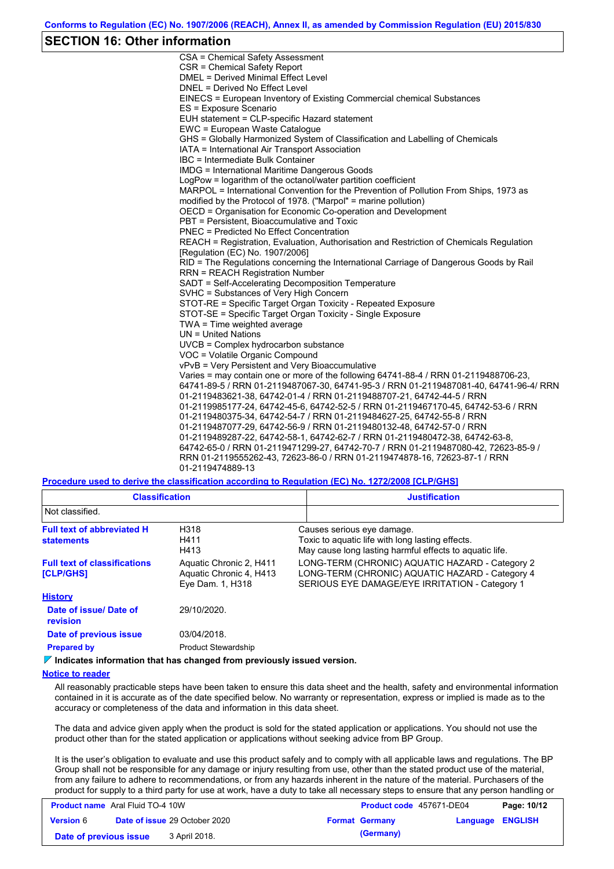### **SECTION 16: Other information**

CSA = Chemical Safety Assessment CSR = Chemical Safety Report DMEL = Derived Minimal Effect Level DNEL = Derived No Effect Level EINECS = European Inventory of Existing Commercial chemical Substances ES = Exposure Scenario EUH statement = CLP-specific Hazard statement EWC = European Waste Catalogue GHS = Globally Harmonized System of Classification and Labelling of Chemicals IATA = International Air Transport Association IBC = Intermediate Bulk Container IMDG = International Maritime Dangerous Goods LogPow = logarithm of the octanol/water partition coefficient MARPOL = International Convention for the Prevention of Pollution From Ships, 1973 as modified by the Protocol of 1978. ("Marpol" = marine pollution) OECD = Organisation for Economic Co-operation and Development PBT = Persistent, Bioaccumulative and Toxic PNEC = Predicted No Effect Concentration REACH = Registration, Evaluation, Authorisation and Restriction of Chemicals Regulation [Regulation (EC) No. 1907/2006] RID = The Regulations concerning the International Carriage of Dangerous Goods by Rail RRN = REACH Registration Number SADT = Self-Accelerating Decomposition Temperature SVHC = Substances of Very High Concern STOT-RE = Specific Target Organ Toxicity - Repeated Exposure STOT-SE = Specific Target Organ Toxicity - Single Exposure TWA = Time weighted average UN = United Nations UVCB = Complex hydrocarbon substance VOC = Volatile Organic Compound vPvB = Very Persistent and Very Bioaccumulative Varies = may contain one or more of the following 64741-88-4 / RRN 01-2119488706-23, 64741-89-5 / RRN 01-2119487067-30, 64741-95-3 / RRN 01-2119487081-40, 64741-96-4/ RRN 01-2119483621-38, 64742-01-4 / RRN 01-2119488707-21, 64742-44-5 / RRN 01-2119985177-24, 64742-45-6, 64742-52-5 / RRN 01-2119467170-45, 64742-53-6 / RRN 01-2119480375-34, 64742-54-7 / RRN 01-2119484627-25, 64742-55-8 / RRN 01-2119487077-29, 64742-56-9 / RRN 01-2119480132-48, 64742-57-0 / RRN 01-2119489287-22, 64742-58-1, 64742-62-7 / RRN 01-2119480472-38, 64742-63-8, 64742-65-0 / RRN 01-2119471299-27, 64742-70-7 / RRN 01-2119487080-42, 72623-85-9 / RRN 01-2119555262-43, 72623-86-0 / RRN 01-2119474878-16, 72623-87-1 / RRN 01-2119474889-13

**Procedure used to derive the classification according to Regulation (EC) No. 1272/2008 [CLP/GHS]**

| <b>Classification</b>                                                  | <b>Justification</b>                                                                                                                                 |  |  |
|------------------------------------------------------------------------|------------------------------------------------------------------------------------------------------------------------------------------------------|--|--|
|                                                                        |                                                                                                                                                      |  |  |
| H318<br>H411<br>H413                                                   | Causes serious eye damage.<br>Toxic to aquatic life with long lasting effects.<br>May cause long lasting harmful effects to aquatic life.            |  |  |
| Aquatic Chronic 2, H411<br>Aquatic Chronic 4, H413<br>Eye Dam. 1, H318 | LONG-TERM (CHRONIC) AQUATIC HAZARD - Category 2<br>LONG-TERM (CHRONIC) AQUATIC HAZARD - Category 4<br>SERIOUS EYE DAMAGE/EYE IRRITATION - Category 1 |  |  |
|                                                                        |                                                                                                                                                      |  |  |
| 29/10/2020.                                                            |                                                                                                                                                      |  |  |
| 03/04/2018.                                                            |                                                                                                                                                      |  |  |
| <b>Product Stewardship</b>                                             |                                                                                                                                                      |  |  |
|                                                                        |                                                                                                                                                      |  |  |

**Indicates information that has changed from previously issued version.**

#### **Notice to reader**

All reasonably practicable steps have been taken to ensure this data sheet and the health, safety and environmental information contained in it is accurate as of the date specified below. No warranty or representation, express or implied is made as to the accuracy or completeness of the data and information in this data sheet.

The data and advice given apply when the product is sold for the stated application or applications. You should not use the product other than for the stated application or applications without seeking advice from BP Group.

It is the user's obligation to evaluate and use this product safely and to comply with all applicable laws and regulations. The BP Group shall not be responsible for any damage or injury resulting from use, other than the stated product use of the material, from any failure to adhere to recommendations, or from any hazards inherent in the nature of the material. Purchasers of the product for supply to a third party for use at work, have a duty to take all necessary steps to ensure that any person handling or

| <b>Product name</b> Aral Fluid TO-4 10W |  | <b>Product code</b> 457671-DE04      |  | Page: 10/12           |                  |  |
|-----------------------------------------|--|--------------------------------------|--|-----------------------|------------------|--|
| <b>Version 6</b>                        |  | <b>Date of issue 29 October 2020</b> |  | <b>Format Germany</b> | Language ENGLISH |  |
| Date of previous issue                  |  | 3 April 2018.                        |  | (Germany)             |                  |  |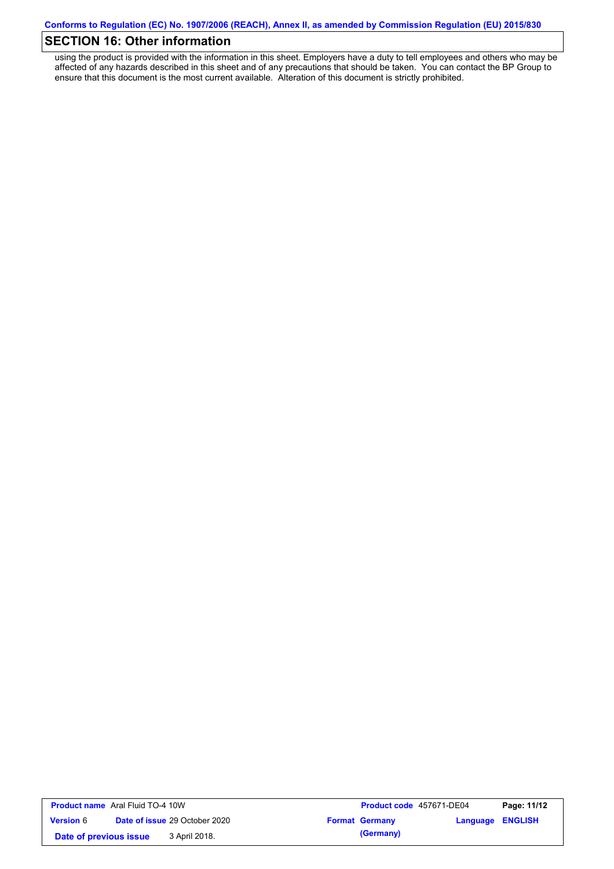## **SECTION 16: Other information**

using the product is provided with the information in this sheet. Employers have a duty to tell employees and others who may be affected of any hazards described in this sheet and of any precautions that should be taken. You can contact the BP Group to ensure that this document is the most current available. Alteration of this document is strictly prohibited.

| <b>Product name</b> Aral Fluid TO-4 10W |  |                                      | <b>Product code</b> 457671-DE04 |                       | Page: 11/12      |  |
|-----------------------------------------|--|--------------------------------------|---------------------------------|-----------------------|------------------|--|
| <b>Version 6</b>                        |  | <b>Date of issue 29 October 2020</b> |                                 | <b>Format Germany</b> | Language ENGLISH |  |
| Date of previous issue                  |  | 3 April 2018.                        |                                 | (Germany)             |                  |  |